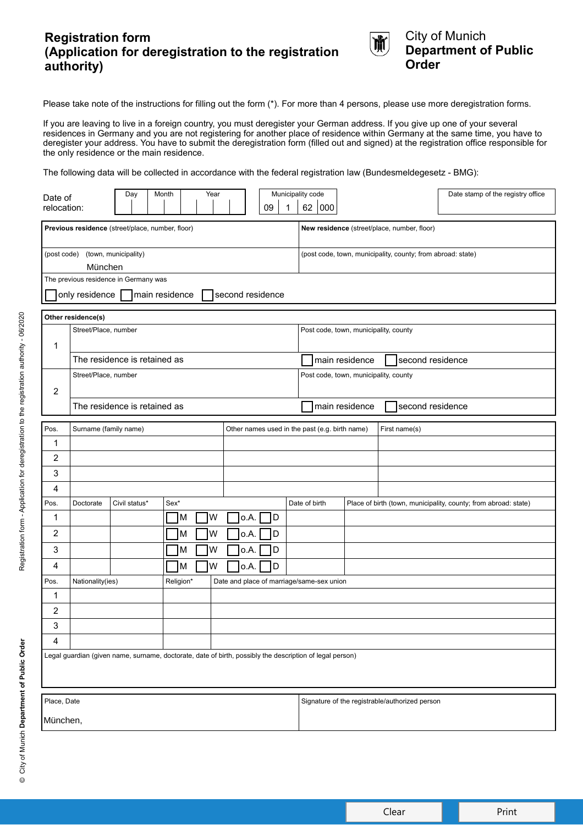# **Registration form (Application for deregistration to the registration authority)**



City of Munich **Department of Public Order**

Please take note of the instructions for filling out the form (\*). For more than 4 persons, please use more deregistration forms.

If you are leaving to live in a foreign country, you must deregister your German address. If you give up one of your several residences in Germany and you are not registering for another place of residence within Germany at the same time, you have to deregister your address. You have to submit the deregistration form (filled out and signed) at the registration office responsible for the only residence or the main residence.

The following data will be collected in accordance with the federal registration law (Bundesmeldegesetz - BMG):

| Date of<br>relocation:                                                                                   |                                                                         | Day           | Month  | Year                                      |              | 09                                    | 1                                           | Municipality code<br>62   000                               |               |  | Date stamp of the registry office                               |
|----------------------------------------------------------------------------------------------------------|-------------------------------------------------------------------------|---------------|--------|-------------------------------------------|--------------|---------------------------------------|---------------------------------------------|-------------------------------------------------------------|---------------|--|-----------------------------------------------------------------|
| Previous residence (street/place, number, floor)                                                         |                                                                         |               |        |                                           |              |                                       | New residence (street/place, number, floor) |                                                             |               |  |                                                                 |
| (town, municipality)<br>(post code)<br>München                                                           |                                                                         |               |        |                                           |              |                                       |                                             | (post code, town, municipality, county; from abroad: state) |               |  |                                                                 |
| The previous residence in Germany was                                                                    |                                                                         |               |        |                                           |              |                                       |                                             |                                                             |               |  |                                                                 |
| only residence<br>main residence<br>second residence                                                     |                                                                         |               |        |                                           |              |                                       |                                             |                                                             |               |  |                                                                 |
| Other residence(s)                                                                                       |                                                                         |               |        |                                           |              |                                       |                                             |                                                             |               |  |                                                                 |
| 1                                                                                                        | Street/Place, number                                                    |               |        |                                           |              |                                       | Post code, town, municipality, county       |                                                             |               |  |                                                                 |
|                                                                                                          | The residence is retained as                                            |               |        |                                           |              |                                       |                                             | main residence<br>second residence                          |               |  |                                                                 |
| $\overline{2}$                                                                                           | Street/Place, number                                                    |               |        |                                           |              | Post code, town, municipality, county |                                             |                                                             |               |  |                                                                 |
|                                                                                                          | The residence is retained as                                            |               |        |                                           |              |                                       |                                             | second residence<br>main residence                          |               |  |                                                                 |
| Pos.                                                                                                     | Surname (family name)<br>Other names used in the past (e.g. birth name) |               |        |                                           |              |                                       |                                             |                                                             | First name(s) |  |                                                                 |
| 1                                                                                                        |                                                                         |               |        |                                           |              |                                       |                                             |                                                             |               |  |                                                                 |
| 2                                                                                                        |                                                                         |               |        |                                           |              |                                       |                                             |                                                             |               |  |                                                                 |
| 3                                                                                                        |                                                                         |               |        |                                           |              |                                       |                                             |                                                             |               |  |                                                                 |
| 4                                                                                                        |                                                                         |               |        |                                           |              |                                       |                                             |                                                             |               |  |                                                                 |
| Pos.                                                                                                     | Doctorate                                                               | Civil status* | Sex*   |                                           |              |                                       |                                             | Date of birth                                               |               |  | Place of birth (town, municipality, county; from abroad: state) |
| 1                                                                                                        |                                                                         |               | Iм     | W                                         | o.A.         | ID                                    |                                             |                                                             |               |  |                                                                 |
| $\overline{2}$<br>3                                                                                      |                                                                         |               | M<br>M | W<br>W                                    | o.A.<br>o.A. | D<br>D                                |                                             |                                                             |               |  |                                                                 |
| 4                                                                                                        |                                                                         |               | Iм     | W                                         | o.A.         | D                                     |                                             |                                                             |               |  |                                                                 |
| Pos.                                                                                                     | Religion*<br>Nationality(ies)                                           |               |        | Date and place of marriage/same-sex union |              |                                       |                                             |                                                             |               |  |                                                                 |
| 1                                                                                                        |                                                                         |               |        |                                           |              |                                       |                                             |                                                             |               |  |                                                                 |
| 2                                                                                                        |                                                                         |               |        |                                           |              |                                       |                                             |                                                             |               |  |                                                                 |
| 3                                                                                                        |                                                                         |               |        |                                           |              |                                       |                                             |                                                             |               |  |                                                                 |
| 4                                                                                                        |                                                                         |               |        |                                           |              |                                       |                                             |                                                             |               |  |                                                                 |
| Legal guardian (given name, surname, doctorate, date of birth, possibly the description of legal person) |                                                                         |               |        |                                           |              |                                       |                                             |                                                             |               |  |                                                                 |
| Place, Date                                                                                              |                                                                         |               |        |                                           |              |                                       |                                             | Signature of the registrable/authorized person              |               |  |                                                                 |
| München,                                                                                                 |                                                                         |               |        |                                           |              |                                       |                                             |                                                             |               |  |                                                                 |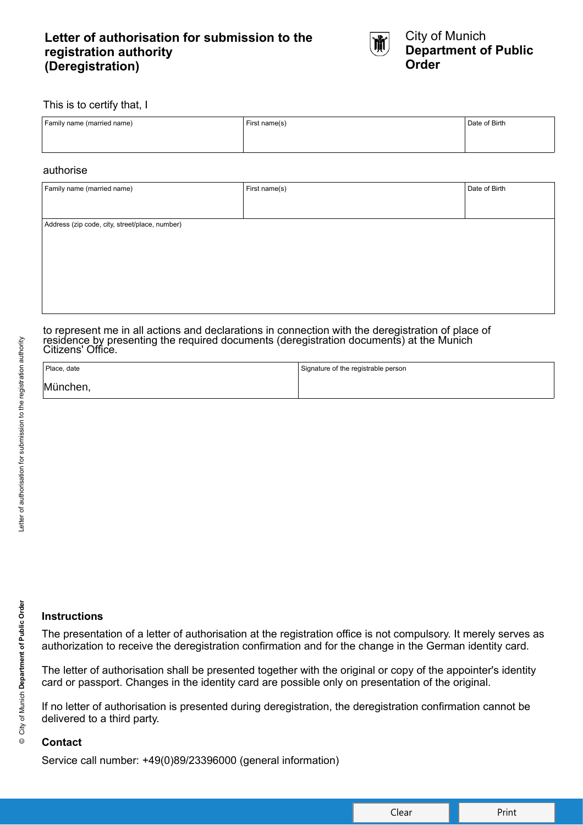# **Letter of authorisation for submission to the registration authority (Deregistration)**



### This is to certify that, I

| Family name (married name) | First name(s) | Date of Birth |
|----------------------------|---------------|---------------|
|                            |               |               |

### authorise

| Family name (married name)                     | First name(s) | Date of Birth |  |  |  |  |
|------------------------------------------------|---------------|---------------|--|--|--|--|
|                                                |               |               |  |  |  |  |
| Address (zip code, city, street/place, number) |               |               |  |  |  |  |
|                                                |               |               |  |  |  |  |
|                                                |               |               |  |  |  |  |
|                                                |               |               |  |  |  |  |
|                                                |               |               |  |  |  |  |
|                                                |               |               |  |  |  |  |

to represent me in all actions and declarations in connection with the deregistration of place of residence by presenting the required documents (deregistration documents) at the Munich Citizens' Office.

| Place, date | Signature of the registrable person |
|-------------|-------------------------------------|
| München,    |                                     |

## **Instructions**

The presentation of a letter of authorisation at the registration office is not compulsory. It merely serves as authorization to receive the deregistration confirmation and for the change in the German identity card.

The letter of authorisation shall be presented together with the original or copy of the appointer's identity card or passport. Changes in the identity card are possible only on presentation of the original.

If no letter of authorisation is presented during deregistration, the deregistration confirmation cannot be delivered to a third party.

## **Contact**

Service call number: +49(0)89/23396000 (general information)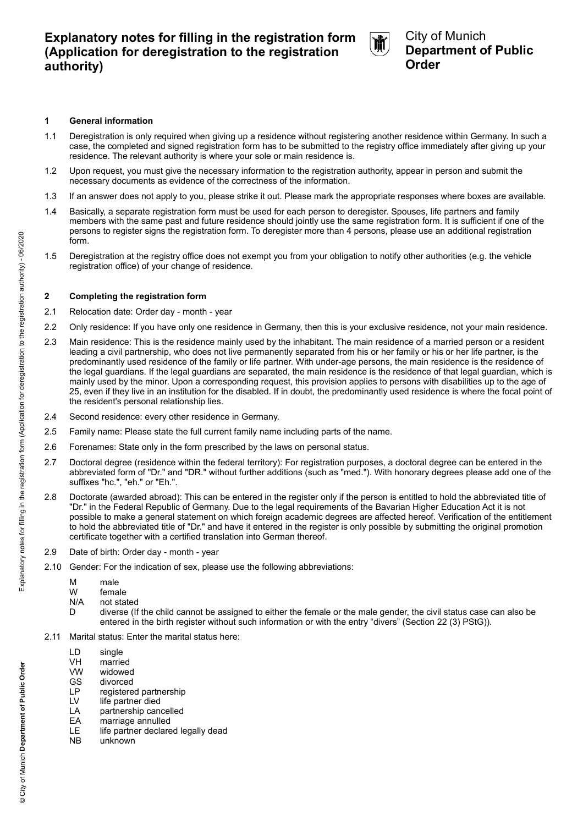

## City of Munich **Department of Public Order**

#### **1 General information**

- 1.1 Deregistration is only required when giving up a residence without registering another residence within Germany. In such a case, the completed and signed registration form has to be submitted to the registry office immediately after giving up your residence. The relevant authority is where your sole or main residence is.
- 1.2 Upon request, you must give the necessary information to the registration authority, appear in person and submit the necessary documents as evidence of the correctness of the information.
- 1.3 If an answer does not apply to you, please strike it out. Please mark the appropriate responses where boxes are available.
- 1.4 Basically, a separate registration form must be used for each person to deregister. Spouses, life partners and family members with the same past and future residence should jointly use the same registration form. It is sufficient if one of the persons to register signs the registration form. To deregister more than 4 persons, please use an additional registration form.
- 1.5 Deregistration at the registry office does not exempt you from your obligation to notify other authorities (e.g. the vehicle registration office) of your change of residence.

#### **2 Completing the registration form**

- 2.1 Relocation date: Order day month year
- 2.2 Only residence: If you have only one residence in Germany, then this is your exclusive residence, not your main residence.
- 2.3 Main residence: This is the residence mainly used by the inhabitant. The main residence of a married person or a resident leading a civil partnership, who does not live permanently separated from his or her family or his or her life partner, is the predominantly used residence of the family or life partner. With under-age persons, the main residence is the residence of the legal guardians. If the legal guardians are separated, the main residence is the residence of that legal guardian, which is mainly used by the minor. Upon a corresponding request, this provision applies to persons with disabilities up to the age of 25, even if they live in an institution for the disabled. If in doubt, the predominantly used residence is where the focal point of the resident's personal relationship lies.
- 2.4 Second residence: every other residence in Germany.
- 2.5 Family name: Please state the full current family name including parts of the name.
- 2.6 Forenames: State only in the form prescribed by the laws on personal status.
- 2.7 Doctoral degree (residence within the federal territory): For registration purposes, a doctoral degree can be entered in the abbreviated form of "Dr." and "DR." without further additions (such as "med."). With honorary degrees please add one of the suffixes "hc.", "eh." or "Eh.".
- 2.8 Doctorate (awarded abroad): This can be entered in the register only if the person is entitled to hold the abbreviated title of "Dr." in the Federal Republic of Germany. Due to the legal requirements of the Bavarian Higher Education Act it is not possible to make a general statement on which foreign academic degrees are affected hereof. Verification of the entitlement to hold the abbreviated title of "Dr." and have it entered in the register is only possible by submitting the original promotion certificate together with a certified translation into German thereof.
- 2.9 Date of birth: Order day month year
- 2.10 Gender: For the indication of sex, please use the following abbreviations:
	- M male
	- W female

D

- N/A not stated
	- diverse (If the child cannot be assigned to either the female or the male gender, the civil status case can also be entered in the birth register without such information or with the entry "divers" (Section 22 (3) PStG)).
- 2.11 Marital status: Enter the marital status here:
	- LD single
	- VH VW married
	- GS widowed divorced
	- LP registered partnership
	- LV life partner died
	- LA partnership cancelled
	- EA marriage annulled
	- LE life partner declared legally dead
	- NB unknown